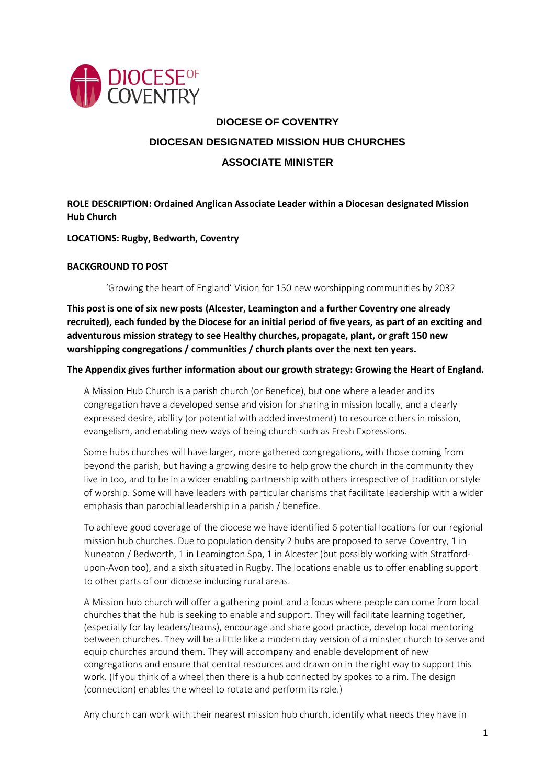

# **DIOCESE OF COVENTRY DIOCESAN DESIGNATED MISSION HUB CHURCHES ASSOCIATE MINISTER**

# **ROLE DESCRIPTION: Ordained Anglican Associate Leader within a Diocesan designated Mission Hub Church**

**LOCATIONS: Rugby, Bedworth, Coventry**

## **BACKGROUND TO POST**

'Growing the heart of England' Vision for 150 new worshipping communities by 2032

**This post is one of six new posts (Alcester, Leamington and a further Coventry one already recruited), each funded by the Diocese for an initial period of five years, as part of an exciting and adventurous mission strategy to see Healthy churches, propagate, plant, or graft 150 new worshipping congregations / communities / church plants over the next ten years.**

#### **The Appendix gives further information about our growth strategy: Growing the Heart of England.**

A Mission Hub Church is a parish church (or Benefice), but one where a leader and its congregation have a developed sense and vision for sharing in mission locally, and a clearly expressed desire, ability (or potential with added investment) to resource others in mission, evangelism, and enabling new ways of being church such as Fresh Expressions.

Some hubs churches will have larger, more gathered congregations, with those coming from beyond the parish, but having a growing desire to help grow the church in the community they live in too, and to be in a wider enabling partnership with others irrespective of tradition or style of worship. Some will have leaders with particular charisms that facilitate leadership with a wider emphasis than parochial leadership in a parish / benefice.

To achieve good coverage of the diocese we have identified 6 potential locations for our regional mission hub churches. Due to population density 2 hubs are proposed to serve Coventry, 1 in Nuneaton / Bedworth, 1 in Leamington Spa, 1 in Alcester (but possibly working with Stratfordupon-Avon too), and a sixth situated in Rugby. The locations enable us to offer enabling support to other parts of our diocese including rural areas.

A Mission hub church will offer a gathering point and a focus where people can come from local churches that the hub is seeking to enable and support. They will facilitate learning together, (especially for lay leaders/teams), encourage and share good practice, develop local mentoring between churches. They will be a little like a modern day version of a minster church to serve and equip churches around them. They will accompany and enable development of new congregations and ensure that central resources and drawn on in the right way to support this work. (If you think of a wheel then there is a hub connected by spokes to a rim. The design (connection) enables the wheel to rotate and perform its role.)

Any church can work with their nearest mission hub church, identify what needs they have in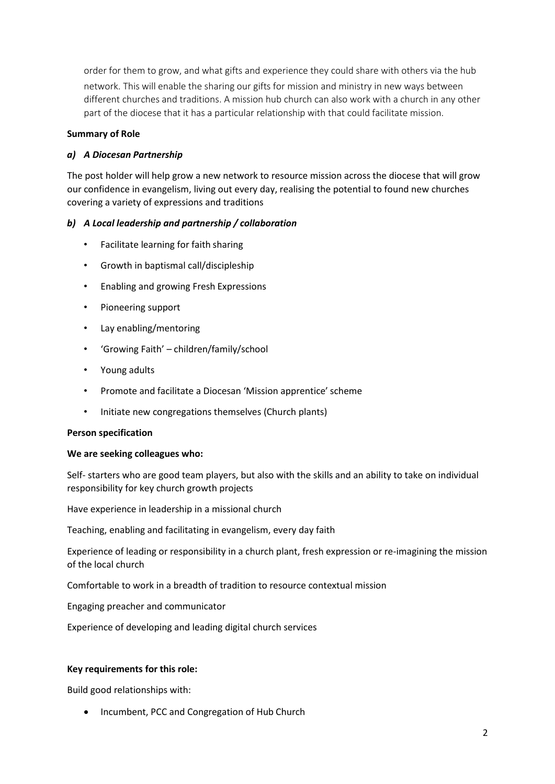order for them to grow, and what gifts and experience they could share with others via the hub network. This will enable the sharing our gifts for mission and ministry in new ways between different churches and traditions. A mission hub church can also work with a church in any other part of the diocese that it has a particular relationship with that could facilitate mission.

## **Summary of Role**

# *a) A Diocesan Partnership*

The post holder will help grow a new network to resource mission across the diocese that will grow our confidence in evangelism, living out every day, realising the potential to found new churches covering a variety of expressions and traditions

## *b) A Local leadership and partnership / collaboration*

- Facilitate learning for faith sharing
- Growth in baptismal call/discipleship
- Enabling and growing Fresh Expressions
- Pioneering support
- Lay enabling/mentoring
- 'Growing Faith' children/family/school
- Young adults
- Promote and facilitate a Diocesan 'Mission apprentice' scheme
- Initiate new congregations themselves (Church plants)

#### **Person specification**

#### **We are seeking colleagues who:**

Self- starters who are good team players, but also with the skills and an ability to take on individual responsibility for key church growth projects

Have experience in leadership in a missional church

Teaching, enabling and facilitating in evangelism, every day faith

Experience of leading or responsibility in a church plant, fresh expression or re-imagining the mission of the local church

Comfortable to work in a breadth of tradition to resource contextual mission

Engaging preacher and communicator

Experience of developing and leading digital church services

#### **Key requirements for this role:**

Build good relationships with:

• Incumbent, PCC and Congregation of Hub Church